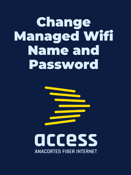### Change Managed Wifi Name and Password



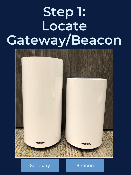## **Step 1: Locate Gateway/Beacon**



#### Gateway | **Beacon**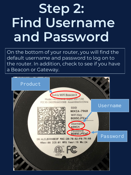## **Step 2: Find Username and Password**

On the bottom of your router, you will find the default username and password to log on to the router. In addition, check to see if you have a Beacon or Gateway.

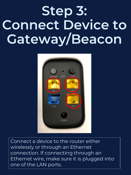## **Step 3: Connect Device to Gateway/Beacon**



Connect a device to the router either wirelessly or through an Ethernet connection. If connecting through an Ethernet wire, make sure it is plugged into one of the LAN ports.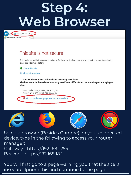### **Step 4: Web Browser**



#### This site is not secure

This might mean that someone's trying to fool you or steal any info you send to the server. You should close this site immediately.

Close this tab

More information

Your PC doesn't trust this website's security certificate. The hostname in the website's security certificate differs from the website you are trying to visit.

Error Code: DLG\_FLAGS\_INVALID\_CA DLG\_FLAGS\_SEC\_CERT\_CN\_INVALID

Go on to the webpage (not recommended)



Using a browser (Besides Chrome) on your connected device, type in the following to access your router manager: Gateway - https://192.168.1.254 Beacon - https://192.168.18.1

You will first go to a page warning you that the site is insecure. Ignore this and continue to the page.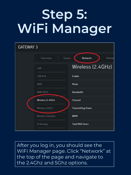# **Step 5: WiFi Manager**

| <b>GATEWAY 3</b> |                           |                           |  |
|------------------|---------------------------|---------------------------|--|
|                  | Overview<br><b>Status</b> | <b>Network</b><br>Mainte  |  |
|                  | LAN                       | Wireless (2.4GHz)         |  |
|                  | LAN IP <sub>v6</sub>      | Enable                    |  |
|                  | <b>WAN</b>                | Mode                      |  |
|                  | <b>WAN DHCP</b>           | Bandwidth                 |  |
|                  | Wireless (2.4GHz)         | Channel                   |  |
|                  | Wireless (5GHz)           | <b>Transmitting Power</b> |  |
|                  | Wireless Schedule         | <b>WMM</b>                |  |
|                  | IP Routing                | <b>Total MAX Users</b>    |  |

After you log in, you should see the WiFi Manager page. Click "Network" at the top of the page and navigate to the 2.4Ghz and 5Ghz options.